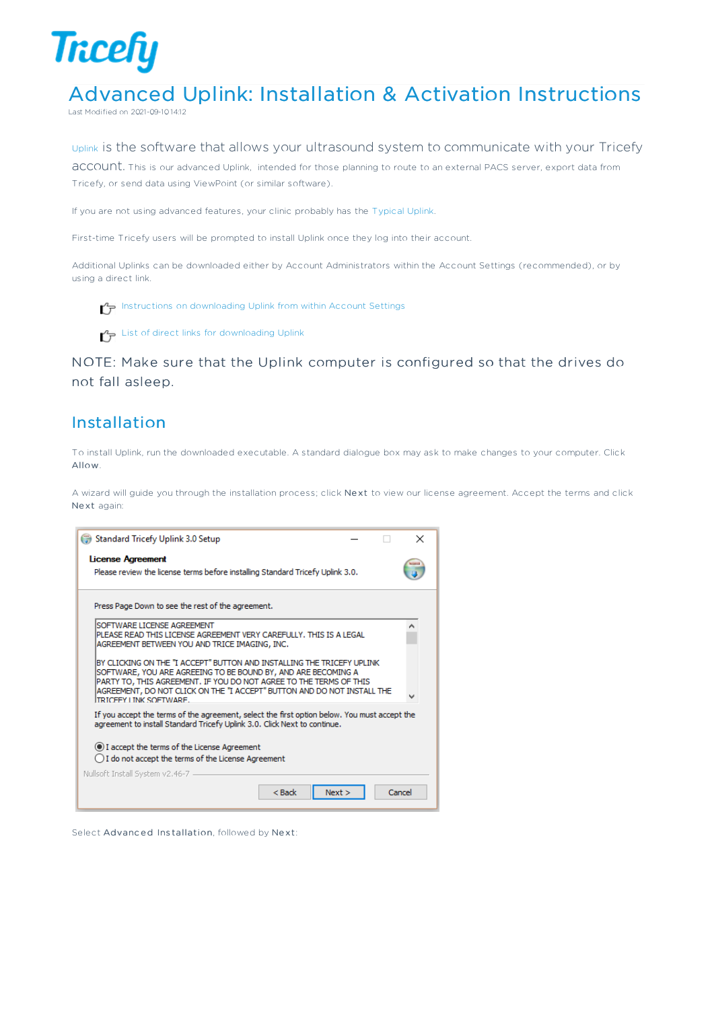

# Advanced Uplink: Installation & Activation Instructions

Last Modified on 2021-09-10 14:12

#### Uplink is the software that allows your ultrasound system to communicate with your Tricefy

account. This is our advanced Uplink, intended for those planning to route to an external PACS server, export data from Tricefy, or send data using ViewPoint (or similar software).

If you are not using advanced features, your clinic probably has the Typical Uplink.

First-time Tricefy users will be prompted to install Uplink once they log into their account.

Additional Uplinks can be downloaded either by Account Administrators within the Account Settings (recommended), or by using a direct link.

Instructions on downloading Uplink from within Account Settings

 $\mathcal{L}_{\mathcal{F}}$  List of direct links for downloading Uplink

NOTE: Make sure that the Uplink computer is configured so that the drives do not fall asleep.

#### Installation

To install Uplink, run the downloaded executable. A standard dialogue box may ask to make changes to your computer. Click Allow.

A wizard will guide you through the installation process; click Next to view our license agreement. Accept the terms and click Ne xt again:

| Standard Tricefy Uplink 3.0 Setup                                                                                                                                         | × |
|---------------------------------------------------------------------------------------------------------------------------------------------------------------------------|---|
| <b>License Agreement</b>                                                                                                                                                  |   |
| Please review the license terms before installing Standard Tricefy Uplink 3.0.                                                                                            |   |
| Press Page Down to see the rest of the agreement.                                                                                                                         |   |
| SOFTWARE LICENSE AGREEMENT                                                                                                                                                | ۸ |
| PLEASE READ THIS LICENSE AGREEMENT VERY CAREFULLY. THIS IS A LEGAL<br>AGREEMENT BETWEEN YOU AND TRICE IMAGING, INC.                                                       |   |
| BY CLICKING ON THE "I ACCEPT" BUTTON AND INSTALLING THE TRICEFY UPLINK                                                                                                    |   |
| SOFTWARE, YOU ARE AGREEING TO BE BOUND BY, AND ARE BECOMING A<br>PARTY TO, THIS AGREEMENT. IF YOU DO NOT AGREE TO THE TERMS OF THIS                                       |   |
| AGREEMENT, DO NOT CLICK ON THE "I ACCEPT" BUTTON AND DO NOT INSTALL THE<br><b>TRICEEY LINK SOFTWARE.</b>                                                                  |   |
| If you accept the terms of the agreement, select the first option below. You must accept the<br>agreement to install Standard Tricefy Uplink 3.0. Click Next to continue. |   |
| I accept the terms of the License Agreement                                                                                                                               |   |
| ◯ I do not accept the terms of the License Agreement                                                                                                                      |   |
| Nullsoft Install System v2.46-7 -                                                                                                                                         |   |
| $<$ Back<br>Cancel<br>Next                                                                                                                                                |   |

Select Advanced Installation, followed by Next: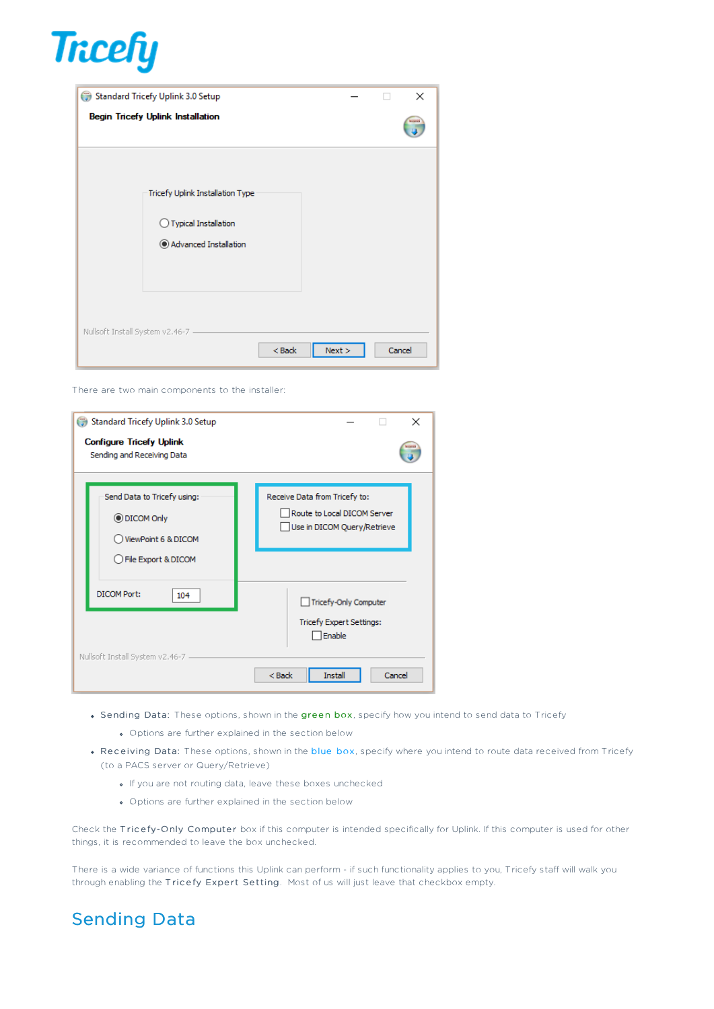

| Standard Tricefy Uplink 3.0 Setup                                                            |        | ×             |
|----------------------------------------------------------------------------------------------|--------|---------------|
| <b>Begin Tricefy Uplink Installation</b>                                                     |        | <b>PERMIT</b> |
| Tricefy Uplink Installation Type<br>$\bigcirc$ Typical Installation<br>Advanced Installation |        |               |
| Nullsoft Install System v2.46-7<br>$<$ Back                                                  | Next > | Cancel        |

There are two main components to the installer:

| Standard Tricefy Uplink 3.0 Setup<br><b>Configure Tricefy Uplink</b><br>Sending and Receiving Data | $\times$                                                                                     |
|----------------------------------------------------------------------------------------------------|----------------------------------------------------------------------------------------------|
| Send Data to Tricefy using:<br><b>ODICOM Only</b><br>ViewPoint 6 & DICOM<br>◯ File Export & DICOM  | Receive Data from Tricefy to:<br>Route to Local DICOM Server<br>Use in DICOM Query/Retrieve  |
| DICOM Port:<br>104<br>Nullsoft Install System v2,46-7                                              | Tricefy-Only Computer<br>Tricefy Expert Settings:<br>Enable<br>$<$ Back<br>Install<br>Cancel |

- Sending Data: These options, shown in the green box, specify how you intend to send data to Tricefy
	- Options are further explained in the section below
- . Receiving Data: These options, shown in the blue box, specify where you intend to route data received from Tricefy (to a PACS server or Query/Retrieve)
	- If you are not routing data, leave these boxes unchecked
	- Options are further explained in the section below

Check the Tricefy-Only Computer box if this computer is intended specifically for Uplink. If this computer is used for other things, it is recommended to leave the box unchecked.

There is a wide variance of functions this Uplink can perform - if such functionality applies to you, Tricefy staff will walk you through enabling the Tricefy Expert Setting. Most of us will just leave that checkbox empty.

# Sending Data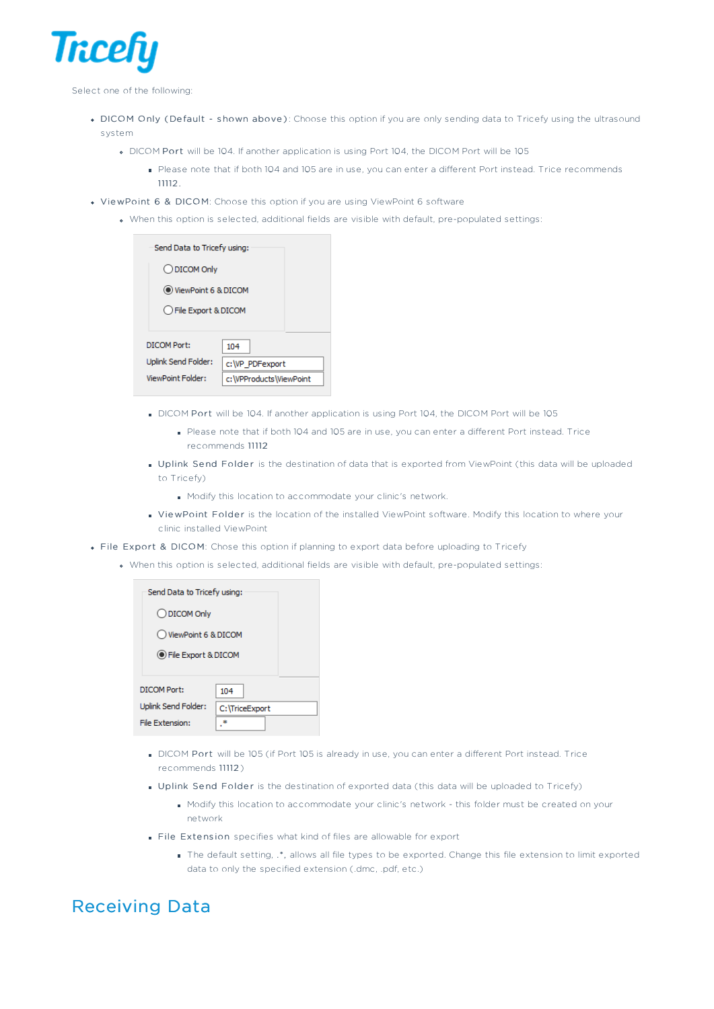

Select one of the following:

- DICOM Only (Default shown above): Choose this option if you are only sending data to Tricefy using the ultrasound system
	- DICOM Port will be 104. If another application is using Port 104, the DICOM Port will be 105
		- Please note that if both 104 and 105 are in use, you can enter a different Port instead. Trice recommends 11112
- ViewPoint 6 & DICOM: Choose this option if you are using ViewPoint 6 software
	- When this option is selected, additional fields are visible with default, pre-populated settings:

| Send Data to Tricefy using: |                           |
|-----------------------------|---------------------------|
| O DICOM Only                |                           |
| O ViewPoint 6 & DICOM       |                           |
| ○ File Export & DICOM       |                           |
| DICOM Port:                 | 104                       |
| Uplink Send Folder:         | c:\VP PDFexport           |
| ViewPoint Folder:           | c: \VPProducts \ViewPoint |

- DICOM Port will be 104. If another application is using Port 104, the DICOM Port will be 105
	- Please note that if both 104 and 105 are in use, you can enter a different Port instead. Trice recommends 11112
- Uplink Send Folder is the destination of data that is exported from ViewPoint (this data will be uploaded to Tricefy)
	- Modify this location to accommodate your clinic's network.
- ViewPoint Folder is the location of the installed ViewPoint software. Modify this location to where your clinic installed ViewPoint
- File Export & DICOM: Chose this option if planning to export data before uploading to Tricefy
	- When this option is selected, additional fields are visible with default, pre-populated settings:

| Send Data to Tricefy using: |                |
|-----------------------------|----------------|
| ◯ DICOM Only                |                |
| ◯ ViewPoint 6 & DICOM       |                |
| ● File Export & DICOM       |                |
| DICOM Port:                 | 104            |
| Uplink Send Folder:         | C:\TriceExport |
| File Extension:             |                |

- DICOM Port will be 105 (if Port 105 is already in use, you can enter a different Port instead. Trice recommends 11112 )
- Uplink Send Folder is the destination of exported data (this data will be uploaded to Tricefy)
	- Modify this location to accommodate your clinic's network this folder must be created on your network
- File Extension specifies what kind of files are allowable for export
	- The default setting, .\*, allows all file types to be exported. Change this file extension to limit exported data to only the specified extension (.dmc, .pdf, etc.)

#### Receiving Data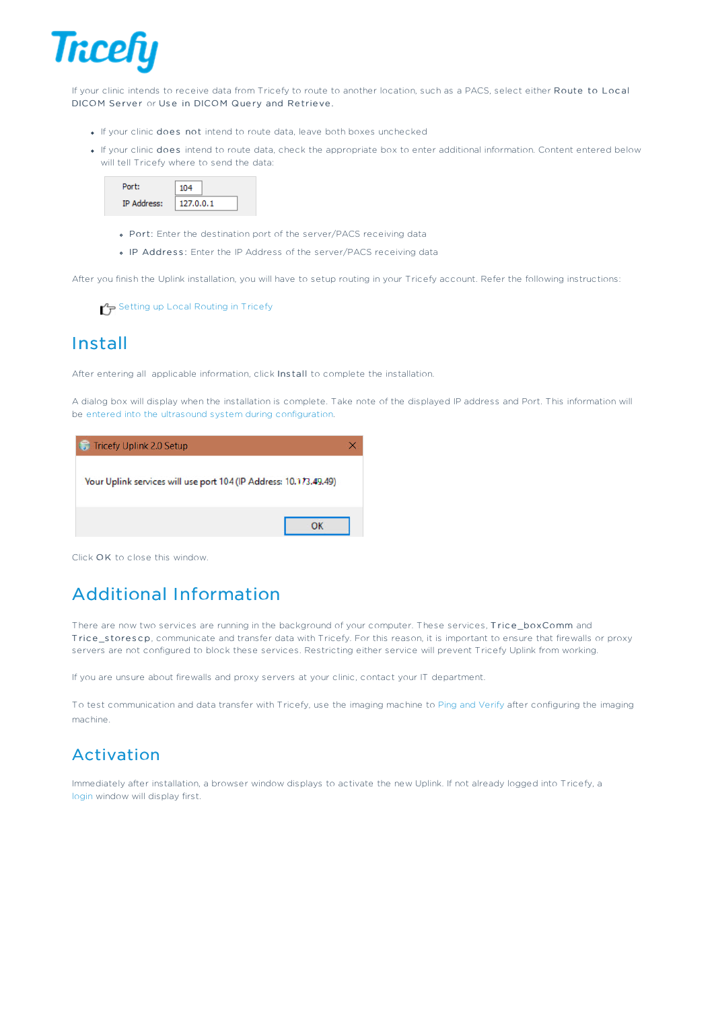

If your clinic intends to receive data from Tricefy to route to another location, such as a PACS, select either Route to Loc al DICOM Server or Use in DICOM Query and Retrieve.

- If your clinic does not intend to route data, leave both boxes unchecked
- If your clinic does intend to route data, check the appropriate box to enter additional information. Content entered below will tell Tricefy where to send the data:

| Port:              | 104       |
|--------------------|-----------|
| <b>IP Address:</b> | 127.0.0.1 |

- Port: Enter the destination port of the server/PACS receiving data
- . IP Address: Enter the IP Address of the server/PACS receiving data

After you finish the Uplink installation, you will have to setup routing in your Tricefy account. Refer the following instructions:

Setting up Local Routing in Tricefy

#### Install

After entering all applicable information, click Ins tall to complete the installation.

A dialog box will display when the installation is complete. Take note of the displayed IP address and Port. This information will be entered into the ultrasound system during configuration.

Tricefy Uplink 2.0 Setup

Your Uplink services will use port 104 (IP Address: 10.173.49.49)

Click OK to close this window.

# Additional Information

There are now two services are running in the background of your computer. These services, Trice\_boxComm and Trice\_storescp, communicate and transfer data with Tricefy. For this reason, it is important to ensure that firewalls or proxy servers are not configured to block these services. Restricting either service will prevent Tricefy Uplink from working.

If you are unsure about firewalls and proxy servers at your clinic, contact your IT department.

To test communication and data transfer with Tricefy, use the imaging machine to Ping and Verify after configuring the imaging machine.

### Activation

Immediately after installation, a browser window displays to activate the new Uplink. If not already logged into Tricefy, a login window will display first.